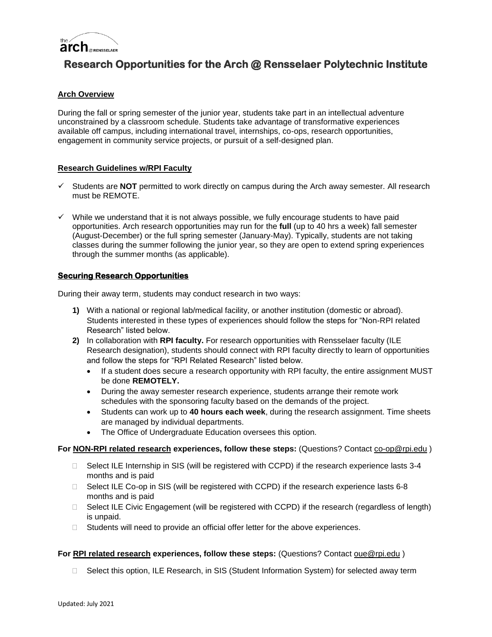

# **Research Opportunities for the Arch @ Rensselaer Polytechnic Institute**

# **Arch Overview**

During the fall or spring semester of the junior year, students take part in an intellectual adventure unconstrained by a classroom schedule. Students take advantage of transformative experiences available off campus, including international travel, internships, co-ops, research opportunities, engagement in community service projects, or pursuit of a self-designed plan.

## **Research Guidelines w/RPI Faculty**

- $\checkmark$  Students are **NOT** permitted to work directly on campus during the Arch away semester. All research must be REMOTE.
- $\checkmark$  While we understand that it is not always possible, we fully encourage students to have paid opportunities. Arch research opportunities may run for the **full** (up to 40 hrs a week) fall semester (August-December) or the full spring semester (January-May). Typically, students are not taking classes during the summer following the junior year, so they are open to extend spring experiences through the summer months (as applicable).

# **Securing Research Opportunities**

During their away term, students may conduct research in two ways:

- **1)** With a national or regional lab/medical facility, or another institution (domestic or abroad). Students interested in these types of experiences should follow the steps for "Non-RPI related Research" listed below.
- **2)** In collaboration with **RPI faculty.** For research opportunities with Rensselaer faculty (ILE Research designation), students should connect with RPI faculty directly to learn of opportunities and follow the steps for "RPI Related Research" listed below.
	- If a student does secure a research opportunity with RPI faculty, the entire assignment MUST be done **REMOTELY.**
	- During the away semester research experience, students arrange their remote work schedules with the sponsoring faculty based on the demands of the project.
	- Students can work up to **40 hours each week**, during the research assignment. Time sheets are managed by individual departments.
	- The Office of Undergraduate Education oversees this option.

## **For NON-RPI related research experiences, follow these steps:** (Questions? Contact co-op@rpi.edu )

- $\Box$  Select ILE Internship in SIS (will be registered with CCPD) if the research experience lasts 3-4 months and is paid
- □ Select ILE Co-op in SIS (will be registered with CCPD) if the research experience lasts 6-8 months and is paid
- $\Box$  Select ILE Civic Engagement (will be registered with CCPD) if the research (regardless of length) is unpaid.
- $\Box$  Students will need to provide an official offer letter for the above experiences.

## **For RPI related research experiences, follow these steps:** (Questions? Contact oue@rpi.edu )

□ Select this option, ILE Research, in SIS (Student Information System) for selected away term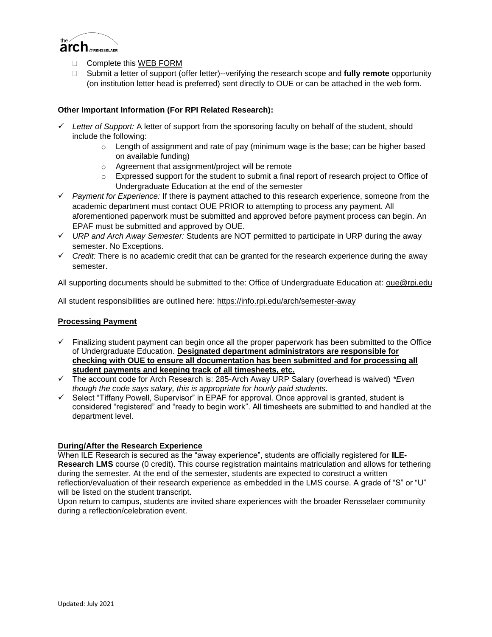

- Complete this WEB FORM
- Submit a letter of support (offer letter)--verifying the research scope and **fully remote** opportunity (on institution letter head is preferred) sent directly to OUE or can be attached in the web form.

# **Other Important Information (For RPI Related Research):**

- $\checkmark$  Letter of Support: A letter of support from the sponsoring faculty on behalf of the student, should include the following:
	- $\circ$  Length of assignment and rate of pay (minimum wage is the base; can be higher based on available funding)
	- o Agreement that assignment/project will be remote
	- $\circ$  Expressed support for the student to submit a final report of research project to Office of Undergraduate Education at the end of the semester
- *Payment for Experience:* If there is payment attached to this research experience, someone from the academic department must contact OUE PRIOR to attempting to process any payment. All aforementioned paperwork must be submitted and approved before payment process can begin. An EPAF must be submitted and approved by OUE.
- *URP and Arch Away Semester:* Students are NOT permitted to participate in URP during the away semester. No Exceptions.
- $\checkmark$  Credit: There is no academic credit that can be granted for the research experience during the away semester.

All supporting documents should be submitted to the: Office of Undergraduate Education at: oue@rpi.edu

All student responsibilities are outlined here: https://info.rpi.edu/arch/semester-away

# **Processing Payment**

- $\checkmark$  Finalizing student payment can begin once all the proper paperwork has been submitted to the Office of Undergraduate Education. **Designated department administrators are responsible for checking with OUE to ensure all documentation has been submitted and for processing all student payments and keeping track of all timesheets, etc.**
- The account code for Arch Research is: 285-Arch Away URP Salary (overhead is waived) *\*Even though the code says salary, this is appropriate for hourly paid students.*
- $\checkmark$  Select "Tiffany Powell, Supervisor" in EPAF for approval. Once approval is granted, student is considered "registered" and "ready to begin work". All timesheets are submitted to and handled at the department level.

## **During/After the Research Experience**

When ILE Research is secured as the "away experience", students are officially registered for **ILE-Research LMS** course (0 credit). This course registration maintains matriculation and allows for tethering during the semester. At the end of the semester, students are expected to construct a written reflection/evaluation of their research experience as embedded in the LMS course. A grade of "S" or "U" will be listed on the student transcript.

Upon return to campus, students are invited share experiences with the broader Rensselaer community during a reflection/celebration event.